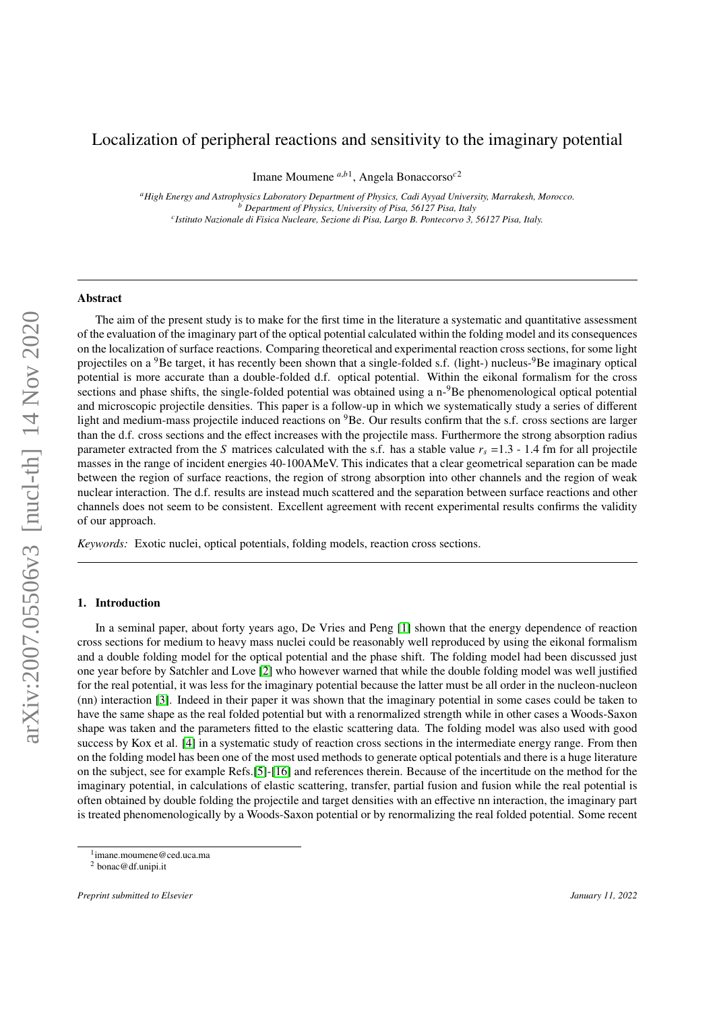# Localization of peripheral reactions and sensitivity to the imaginary potential

Imane Moumene *<sup>a</sup>*,*b*<sup>1</sup> , Angela Bonaccorso*<sup>c</sup>*<sup>2</sup>

*<sup>a</sup>High Energy and Astrophysics Laboratory Department of Physics, Cadi Ayyad University, Marrakesh, Morocco. <sup>b</sup> Department of Physics, University of Pisa, 56127 Pisa, Italy c Istituto Nazionale di Fisica Nucleare, Sezione di Pisa, Largo B. Pontecorvo 3, 56127 Pisa, Italy.*

# Abstract

The aim of the present study is to make for the first time in the literature a systematic and quantitative assessment of the evaluation of the imaginary part of the optical potential calculated within the folding model and its consequences on the localization of surface reactions. Comparing theoretical and experimental reaction cross sections, for some light projectiles on a <sup>9</sup>Be target, it has recently been shown that a single-folded s.f. (light-) nucleus-9Be imaginary optical potential is more accurate than a double-folded d.f. optical potential. Within the eikonal formalism for the cross sections and phase shifts, the single-folded potential was obtained using a n-<sup>9</sup>Be phenomenological optical potential and microscopic projectile densities. This paper is a follow-up in which we systematically study a series of different light and medium-mass projectile induced reactions on  $^{9}$ Be. Our results confirm that the s.f. cross sections are larger than the d.f. cross sections and the effect increases with the projectile mass. Furthermore the strong absorption radius parameter extracted from the *S* matrices calculated with the s.f. has a stable value  $r_s = 1.3 - 1.4$  fm for all projectile masses in the range of incident energies 40-100AMeV. This indicates that a clear geometrical separation can be made between the region of surface reactions, the region of strong absorption into other channels and the region of weak nuclear interaction. The d.f. results are instead much scattered and the separation between surface reactions and other channels does not seem to be consistent. Excellent agreement with recent experimental results confirms the validity of our approach.

*Keywords:* Exotic nuclei, optical potentials, folding models, reaction cross sections.

## 1. Introduction

In a seminal paper, about forty years ago, De Vries and Peng [\[1\]](#page-7-0) shown that the energy dependence of reaction cross sections for medium to heavy mass nuclei could be reasonably well reproduced by using the eikonal formalism and a double folding model for the optical potential and the phase shift. The folding model had been discussed just one year before by Satchler and Love [\[2\]](#page-7-1) who however warned that while the double folding model was well justified for the real potential, it was less for the imaginary potential because the latter must be all order in the nucleon-nucleon (nn) interaction [\[3\]](#page-7-2). Indeed in their paper it was shown that the imaginary potential in some cases could be taken to have the same shape as the real folded potential but with a renormalized strength while in other cases a Woods-Saxon shape was taken and the parameters fitted to the elastic scattering data. The folding model was also used with good success by Kox et al. [\[4\]](#page-7-3) in a systematic study of reaction cross sections in the intermediate energy range. From then on the folding model has been one of the most used methods to generate optical potentials and there is a huge literature on the subject, see for example Refs.[\[5\]](#page-7-4)-[\[16\]](#page-7-5) and references therein. Because of the incertitude on the method for the imaginary potential, in calculations of elastic scattering, transfer, partial fusion and fusion while the real potential is often obtained by double folding the projectile and target densities with an effective nn interaction, the imaginary part is treated phenomenologically by a Woods-Saxon potential or by renormalizing the real folded potential. Some recent

<sup>1</sup> imane.moumene@ced.uca.ma

<sup>2</sup> bonac@df.unipi.it

*Preprint submitted to Elsevier January 11, 2022*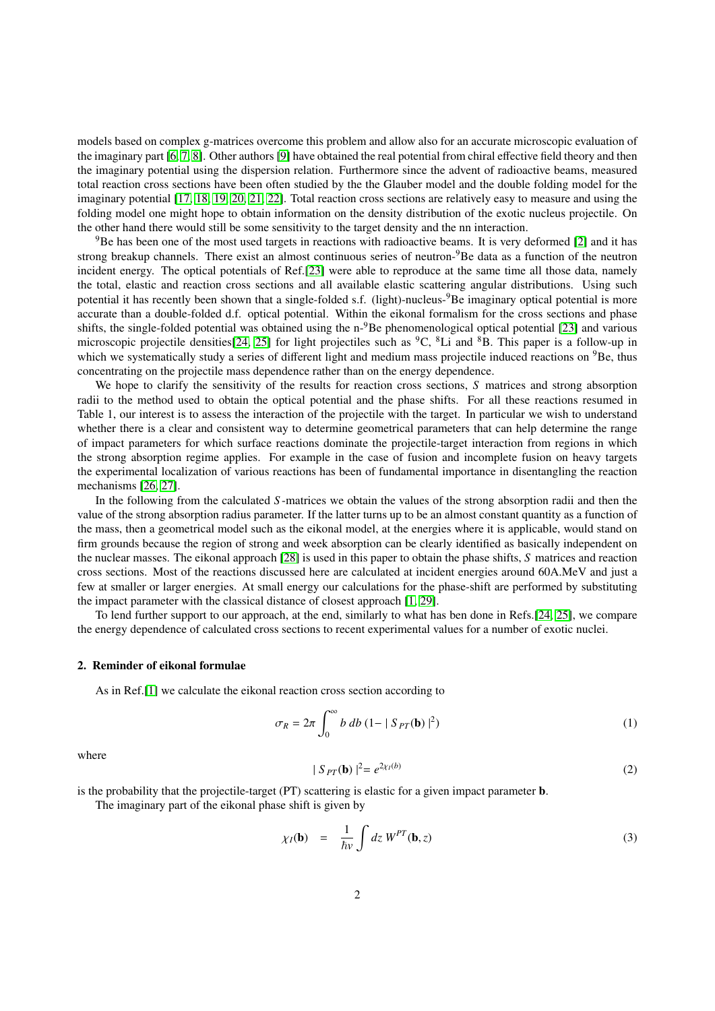models based on complex g-matrices overcome this problem and allow also for an accurate microscopic evaluation of the imaginary part [\[6,](#page-7-6) [7,](#page-7-7) [8\]](#page-7-8). Other authors [\[9\]](#page-7-9) have obtained the real potential from chiral effective field theory and then the imaginary potential using the dispersion relation. Furthermore since the advent of radioactive beams, measured total reaction cross sections have been often studied by the the Glauber model and the double folding model for the imaginary potential [\[17,](#page-7-10) [18,](#page-7-11) [19,](#page-7-12) [20,](#page-7-13) [21,](#page-7-14) [22\]](#page-7-15). Total reaction cross sections are relatively easy to measure and using the folding model one might hope to obtain information on the density distribution of the exotic nucleus projectile. On the other hand there would still be some sensitivity to the target density and the nn interaction.

<sup>9</sup>Be has been one of the most used targets in reactions with radioactive beams. It is very deformed [\[2\]](#page-7-1) and it has strong breakup channels. There exist an almost continuous series of neutron-9Be data as a function of the neutron incident energy. The optical potentials of Ref.[\[23\]](#page-7-16) were able to reproduce at the same time all those data, namely the total, elastic and reaction cross sections and all available elastic scattering angular distributions. Using such potential it has recently been shown that a single-folded s.f. (light)-nucleus-9Be imaginary optical potential is more accurate than a double-folded d.f. optical potential. Within the eikonal formalism for the cross sections and phase shifts, the single-folded potential was obtained using the n-<sup>9</sup>Be phenomenological optical potential [\[23\]](#page-7-16) and various microscopic projectile densities[\[24,](#page-7-17) [25\]](#page-7-18) for light projectiles such as <sup>9</sup>C, <sup>8</sup>Li and <sup>8</sup>B. This paper is a follow-up in which we systematically study a series of different light and medium mass projectile induced reactions on <sup>9</sup>Be, thus concentrating on the projectile mass dependence rather than on the energy dependence.

We hope to clarify the sensitivity of the results for reaction cross sections, *S* matrices and strong absorption radii to the method used to obtain the optical potential and the phase shifts. For all these reactions resumed in Table 1, our interest is to assess the interaction of the projectile with the target. In particular we wish to understand whether there is a clear and consistent way to determine geometrical parameters that can help determine the range of impact parameters for which surface reactions dominate the projectile-target interaction from regions in which the strong absorption regime applies. For example in the case of fusion and incomplete fusion on heavy targets the experimental localization of various reactions has been of fundamental importance in disentangling the reaction mechanisms [\[26,](#page-7-19) [27\]](#page-7-20).

In the following from the calculated *S* -matrices we obtain the values of the strong absorption radii and then the value of the strong absorption radius parameter. If the latter turns up to be an almost constant quantity as a function of the mass, then a geometrical model such as the eikonal model, at the energies where it is applicable, would stand on firm grounds because the region of strong and week absorption can be clearly identified as basically independent on the nuclear masses. The eikonal approach [\[28\]](#page-7-21) is used in this paper to obtain the phase shifts, *S* matrices and reaction cross sections. Most of the reactions discussed here are calculated at incident energies around 60A.MeV and just a few at smaller or larger energies. At small energy our calculations for the phase-shift are performed by substituting the impact parameter with the classical distance of closest approach [\[1,](#page-7-0) [29\]](#page-7-22).

To lend further support to our approach, at the end, similarly to what has ben done in Refs.[\[24,](#page-7-17) [25\]](#page-7-18), we compare the energy dependence of calculated cross sections to recent experimental values for a number of exotic nuclei.

#### 2. Reminder of eikonal formulae

As in Ref.[\[1\]](#page-7-0) we calculate the eikonal reaction cross section according to

$$
\sigma_R = 2\pi \int_0^\infty b \, db \, (1 - |S_{PT}(\mathbf{b})|^2) \tag{1}
$$

<span id="page-1-0"></span>where

<span id="page-1-1"></span>
$$
|\mathbf{S}_{PT}(\mathbf{b})|^2 = e^{2\chi_I(b)}\tag{2}
$$

is the probability that the projectile-target (PT) scattering is elastic for a given impact parameter **b**.

The imaginary part of the eikonal phase shift is given by

$$
\chi_I(\mathbf{b}) = \frac{1}{\hbar v} \int dz \, W^{PT}(\mathbf{b}, z) \tag{3}
$$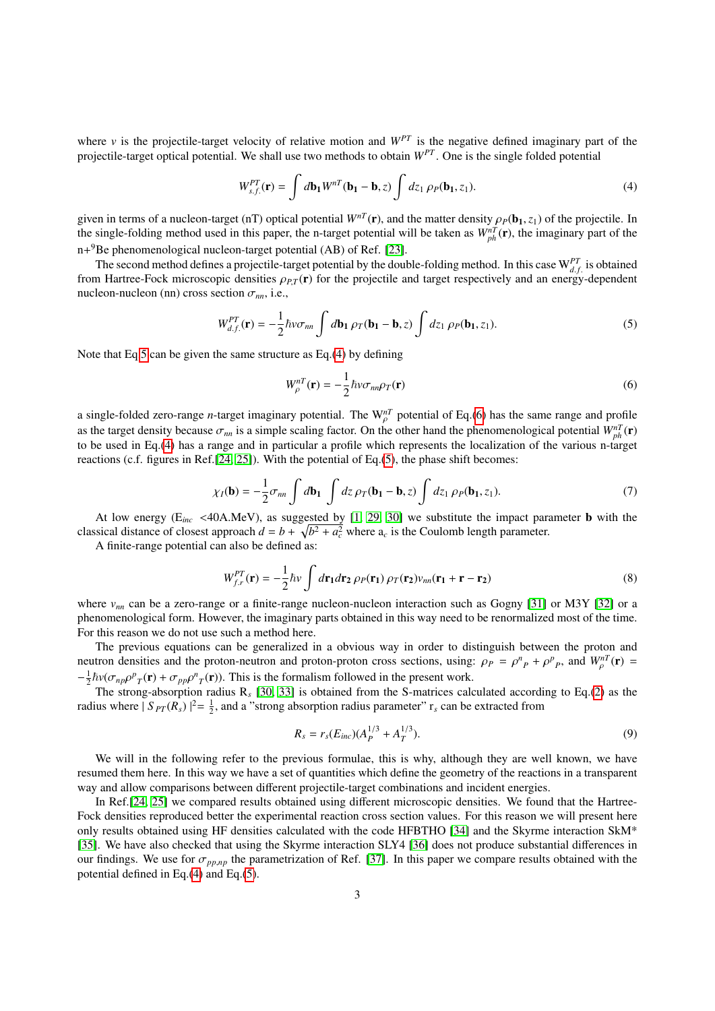where *v* is the projectile-target velocity of relative motion and  $W^{PT}$  is the negative defined imaginary part of the projectile-target optical potential. We shall use two methods to obtain  $W^{PT}$ . One is the single folded potential

<span id="page-2-1"></span>
$$
W_{s,f.}^{PT}(\mathbf{r}) = \int d\mathbf{b_1} W^{n}(\mathbf{b_1} - \mathbf{b}, z) \int dz_1 \, \rho_P(\mathbf{b_1}, z_1). \tag{4}
$$

given in terms of a nucleon-target (nT) optical potential  $W^{n}(r)$ , and the matter density  $\rho_P(\mathbf{b}_1, z_1)$  of the projectile. In the single-folding method used in this paper, the n-target potential will be taken as  $W_{ph}^{n}(r)$ , the imaginary part of the n+<sup>9</sup>Be phenomenological nucleon-target potential (AB) of Ref. [\[23\]](#page-7-16).

The second method defines a projectile-target potential by the double-folding method. In this case  $W_{d,f}^{PT}$  is obtained *d*. *from Hartree-Fock microscopic densities*  $\rho_{PT}(\mathbf{r})$  *for the projectile and target respectively and an energy-dependent nucleon-nucleon (nn) cross section*  $\sigma$ *, i.e.* nucleon-nucleon (nn) cross section  $\sigma_{nn}$ , i.e.,

<span id="page-2-0"></span>
$$
W_{d.f.}^{PT}(\mathbf{r}) = -\frac{1}{2}\hbar v \sigma_{nn} \int d\mathbf{b}_1 \rho_T(\mathbf{b}_1 - \mathbf{b}, z) \int dz_1 \rho_P(\mathbf{b}_1, z_1).
$$
 (5)

Note that Eq[.5](#page-2-0) can be given the same structure as Eq.[\(4\)](#page-2-1) by defining

<span id="page-2-2"></span>
$$
W_{\rho}^{nT}(\mathbf{r}) = -\frac{1}{2}\hbar v \sigma_{nn}\rho_T(\mathbf{r})
$$
\n(6)

a single-folded zero-range *n*-target imaginary potential. The  $W_p^{nT}$  potential of Eq.[\(6\)](#page-2-2) has the same range and profile as the target density because  $\sigma_{nn}$  is a simple scaling factor. On the other hand the phenomenological potential  $W_{ph}^{n}(r)$  to be used in Eq. (4) has a range and in particular a profile which represents the localizatio to be used in Eq.[\(4\)](#page-2-1) has a range and in particular a profile which represents the localization of the various n-target reactions (c.f. figures in Ref.[\[24,](#page-7-17) [25\]](#page-7-18)). With the potential of Eq.[\(5\)](#page-2-0), the phase shift becomes:

$$
\chi_I(\mathbf{b}) = -\frac{1}{2}\sigma_{nn} \int d\mathbf{b_1} \int dz \,\rho_T(\mathbf{b_1} - \mathbf{b}, z) \int dz_1 \,\rho_P(\mathbf{b_1}, z_1). \tag{7}
$$

At low energy (E*inc* <sup>&</sup>lt;40A.MeV), as suggested by [\[1,](#page-7-0) [29,](#page-7-22) [30\]](#page-7-23) we substitute the impact parameter <sup>b</sup> with the classical distance of closest approach  $d = b + \sqrt{b^2 + a_c^2}$  where  $a_c$  is the Coulomb length parameter.

A finite-range potential can also be defined as:

$$
W_{f,r}^{PT}(\mathbf{r}) = -\frac{1}{2}\hbar v \int d\mathbf{r}_1 d\mathbf{r}_2 \, \rho_P(\mathbf{r}_1) \, \rho_T(\mathbf{r}_2) v_{nn}(\mathbf{r}_1 + \mathbf{r} - \mathbf{r}_2) \tag{8}
$$

where  $v_{nn}$  can be a zero-range or a finite-range nucleon-nucleon interaction such as Gogny [\[31\]](#page-7-24) or M3Y [\[32\]](#page-7-25) or a phenomenological form. However, the imaginary parts obtained in this way need to be renormalized most of the time. For this reason we do not use such a method here.

The previous equations can be generalized in a obvious way in order to distinguish between the proton and neutron densities and the proton-neutron and proton-proton cross sections, using:  $\rho_P = \rho^p{}_P + \rho^p{}_P$ , and  $W_p^{nT}(\mathbf{r}) =$ <br><sup>1</sup> ky( $\sigma_e = \rho^p{}_P(n) + \sigma_e = \rho^q{}_P(n)$ ). This is the formalism followed in the gressent work. ρ  $-\frac{1}{2}\hbar v(\sigma_{np}\rho^p{}_T(\mathbf{r}) + \sigma_{pp}\rho^p{}_T(\mathbf{r}))$ . This is the formalism followed in the present work.<br>The strong-absorption radius R [30, 33] is obtained from the S-matrices calculation

The strong-absorption radius R*<sup>s</sup>* [\[30,](#page-7-23) [33\]](#page-7-26) is obtained from the S-matrices calculated according to Eq.[\(2\)](#page-1-0) as the radius where  $|S_{PT}(R_s)|^2 = \frac{1}{2}$ , and a "strong absorption radius parameter" r<sub>s</sub> can be extracted from

<span id="page-2-3"></span>
$$
R_s = r_s(E_{inc})(A_P^{1/3} + A_T^{1/3}).
$$
\n(9)

We will in the following refer to the previous formulae, this is why, although they are well known, we have resumed them here. In this way we have a set of quantities which define the geometry of the reactions in a transparent way and allow comparisons between different projectile-target combinations and incident energies.

In Ref.[\[24,](#page-7-17) [25\]](#page-7-18) we compared results obtained using different microscopic densities. We found that the Hartree-Fock densities reproduced better the experimental reaction cross section values. For this reason we will present here only results obtained using HF densities calculated with the code HFBTHO [\[34\]](#page-7-27) and the Skyrme interaction SkM\* [\[35\]](#page-7-28). We have also checked that using the Skyrme interaction SLY4 [\[36\]](#page-7-29) does not produce substantial differences in our findings. We use for  $\sigma_{p,p,p}$  the parametrization of Ref. [\[37\]](#page-7-30). In this paper we compare results obtained with the potential defined in Eq.[\(4\)](#page-2-1) and Eq.[\(5\)](#page-2-0).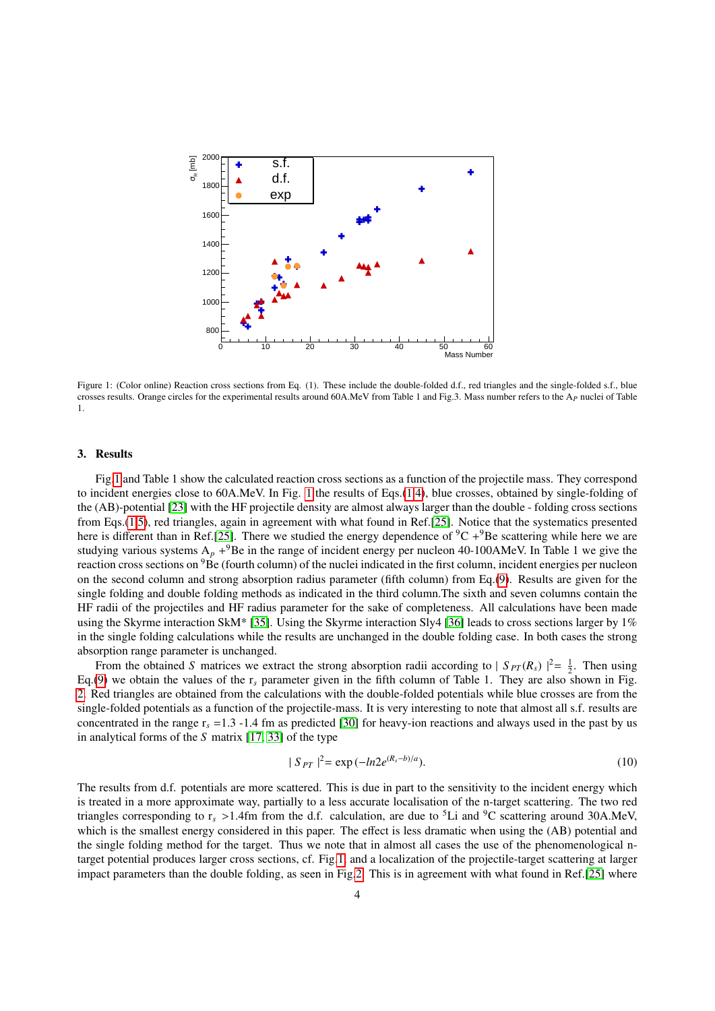

<span id="page-3-0"></span>Figure 1: (Color online) Reaction cross sections from Eq. (1). These include the double-folded d.f., red triangles and the single-folded s.f., blue crosses results. Orange circles for the experimental results around 60A.MeV from Table 1 and Fig.3. Mass number refers to the A*<sup>P</sup>* nuclei of Table 1.

### 3. Results

Fig[.1](#page-3-0) and Table 1 show the calculated reaction cross sections as a function of the projectile mass. They correspond to incident energies close to 60A.MeV. In Fig. [1](#page-3-0) the results of Eqs.[\(1](#page-1-1)[,4\)](#page-2-1), blue crosses, obtained by single-folding of the (AB)-potential [\[23\]](#page-7-16) with the HF projectile density are almost always larger than the double - folding cross sections from Eqs.[\(1](#page-1-1)[,5\)](#page-2-0), red triangles, again in agreement with what found in Ref.[\[25\]](#page-7-18). Notice that the systematics presented here is different than in Ref.[\[25\]](#page-7-18). There we studied the energy dependence of  $^9C + ^9Be$  scattering while here we are studying various systems  $A_p + {}^9Be$  in the range of incident energy per nucleon 40-100AMeV. In Table 1 we give the reaction cross sections on <sup>9</sup>Be (fourth column) of the nuclei indicated in the first column, incident energies per nucleon on the second column and strong absorption radius parameter (fifth column) from Eq.[\(9\)](#page-2-3). Results are given for the single folding and double folding methods as indicated in the third column.The sixth and seven columns contain the HF radii of the projectiles and HF radius parameter for the sake of completeness. All calculations have been made using the Skyrme interaction SkM\* [\[35\]](#page-7-28). Using the Skyrme interaction Sly4 [\[36\]](#page-7-29) leads to cross sections larger by 1% in the single folding calculations while the results are unchanged in the double folding case. In both cases the strong absorption range parameter is unchanged.

From the obtained *S* matrices we extract the strong absorption radii according to  $|S_{PT}(R_s)|^2 = \frac{1}{2}$ . Then using Eq.[\(9\)](#page-2-3) we obtain the values of the r*<sup>s</sup>* parameter given in the fifth column of Table 1. They are also shown in Fig. [2.](#page-4-0) Red triangles are obtained from the calculations with the double-folded potentials while blue crosses are from the single-folded potentials as a function of the projectile-mass. It is very interesting to note that almost all s.f. results are concentrated in the range r*<sup>s</sup>* =1.3 -1.4 fm as predicted [\[30\]](#page-7-23) for heavy-ion reactions and always used in the past by us in analytical forms of the *S* matrix [\[17,](#page-7-10) [33\]](#page-7-26) of the type

<span id="page-3-1"></span>
$$
|S_{PT}|^2 = \exp(-ln2e^{(R_s-b)/a}).
$$
\n(10)

The results from d.f. potentials are more scattered. This is due in part to the sensitivity to the incident energy which is treated in a more approximate way, partially to a less accurate localisation of the n-target scattering. The two red triangles corresponding to  $r_s > 1.4$ fm from the d.f. calculation, are due to <sup>5</sup>Li and <sup>9</sup>C scattering around 30A.MeV, which is the smallest energy considered in this paper. The effect is less dramatic when using the (AB) potential and the single folding method for the target. Thus we note that in almost all cases the use of the phenomenological ntarget potential produces larger cross sections, cf. Fig[.1,](#page-3-0) and a localization of the projectile-target scattering at larger impact parameters than the double folding, as seen in Fig[.2.](#page-4-0) This is in agreement with what found in Ref.[\[25\]](#page-7-18) where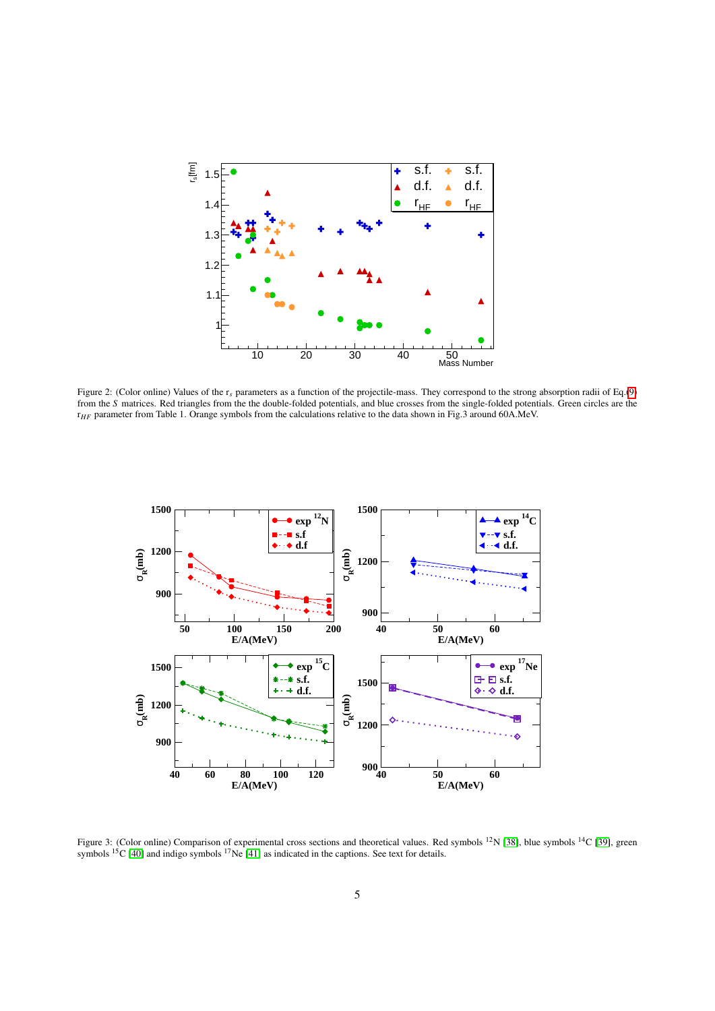

<span id="page-4-0"></span>Figure 2: (Color online) Values of the r<sub>s</sub> parameters as a function of the projectile-mass. They correspond to the strong absorption radii of Eq.[\(9\)](#page-2-3) from the *S* matrices. Red triangles from the the double-folded potentials, and blue crosses from the single-folded potentials. Green circles are the r*HF* parameter from Table 1. Orange symbols from the calculations relative to the data shown in Fig.3 around 60A.MeV.



<span id="page-4-1"></span>Figure 3: (Color online) Comparison of experimental cross sections and theoretical values. Red symbols <sup>12</sup>N [\[38\]](#page-7-31), blue symbols <sup>14</sup>C [\[39\]](#page-7-32), green symbols  ${}^{15}C$  [\[40\]](#page-7-33) and indigo symbols  ${}^{17}Ne$  [\[41\]](#page-8-0) as indicated in the captions. See text for details.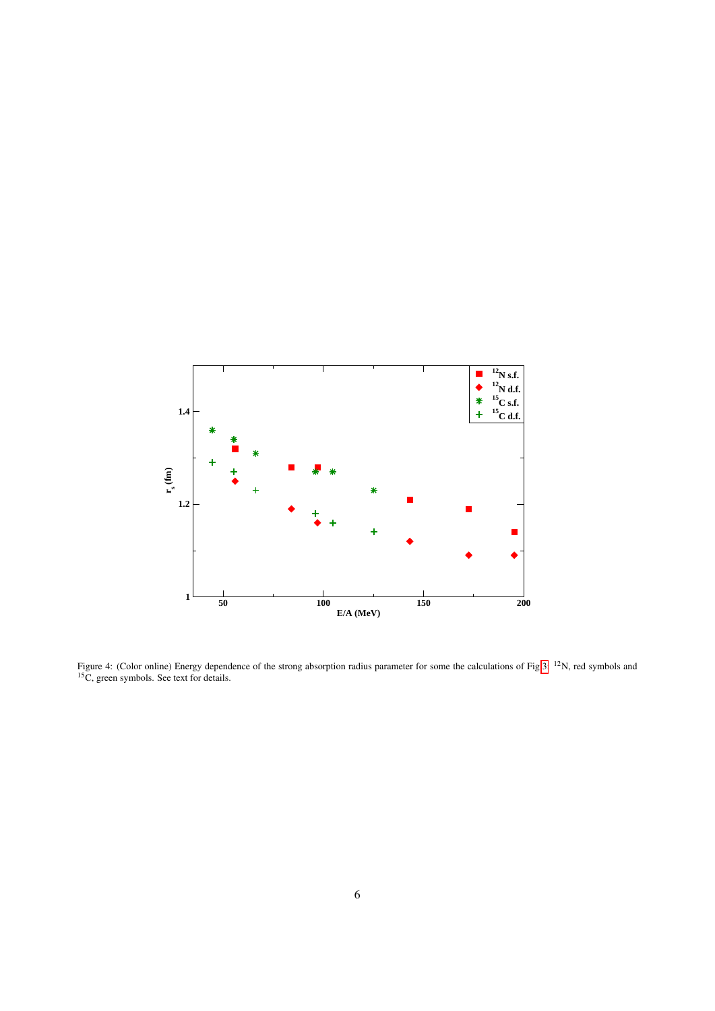

<span id="page-5-0"></span>Figure 4: (Color online) Energy dependence of the strong absorption radius parameter for some the calculations of Fig[.3:](#page-4-1) <sup>12</sup>N, red symbols and <sup>15</sup>C, green symbols. See text for details.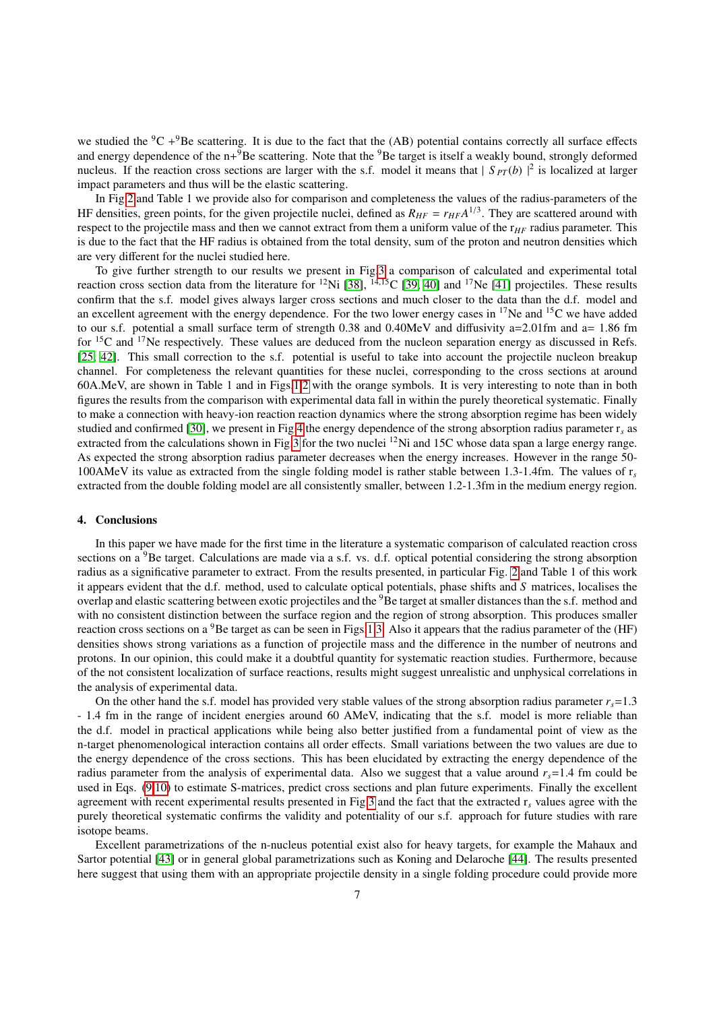we studied the  ${}^{9}C + {}^{9}Be$  scattering. It is due to the fact that the (AB) potential contains correctly all surface effects and energy dependence of the  $n+9$ Be scattering. Note that the  $9$ Be target is itself a weakly bound, strongly deformed nucleus. If the reaction cross sections are larger with the s.f. model it means that  $|S_{PT}(b)|^2$  is localized at larger impact parameters and thus will be the elastic scattering.

In Fig[.2](#page-4-0) and Table 1 we provide also for comparison and completeness the values of the radius-parameters of the HF densities, green points, for the given projectile nuclei, defined as  $R_{HF} = r_{HF} A^{1/3}$ . They are scattered around with respect to the projectile mass and then we cannot extract from them a uniform value of the  $r_{HF}$  radius parameter. This is due to the fact that the HF radius is obtained from the total density, sum of the proton and neutron densities which are very different for the nuclei studied here.

To give further strength to our results we present in Fig[.3](#page-4-1) a comparison of calculated and experimental total reaction cross section data from the literature for <sup>12</sup>Ni [\[38\]](#page-7-31), <sup>14,15</sup>C [\[39,](#page-7-32) [40\]](#page-7-33) and <sup>17</sup>Ne [\[41\]](#page-8-0) projectiles. These results confirm that the s.f. model gives always larger cross sections and much closer to the data than the d.f. model and an excellent agreement with the energy dependence. For the two lower energy cases in  $17$ Ne and  $15$ C we have added to our s.f. potential a small surface term of strength 0.38 and 0.40MeV and diffusivity a=2.01fm and a= 1.86 fm for <sup>15</sup>C and <sup>17</sup>Ne respectively. These values are deduced from the nucleon separation energy as discussed in Refs. [\[25,](#page-7-18) [42\]](#page-8-1). This small correction to the s.f. potential is useful to take into account the projectile nucleon breakup channel. For completeness the relevant quantities for these nuclei, corresponding to the cross sections at around 60A.MeV, are shown in Table 1 and in Figs[.1](#page-3-0)[,2](#page-4-0) with the orange symbols. It is very interesting to note than in both figures the results from the comparison with experimental data fall in within the purely theoretical systematic. Finally to make a connection with heavy-ion reaction reaction dynamics where the strong absorption regime has been widely studied and confirmed [\[30\]](#page-7-23), we present in Fig[.4](#page-5-0) the energy dependence of the strong absorption radius parameter  $r_s$  as extracted from the calculations shown in Fig[.3](#page-4-1) for the two nuclei  $^{12}$ Ni and 15C whose data span a large energy range. As expected the strong absorption radius parameter decreases when the energy increases. However in the range 50- 100AMeV its value as extracted from the single folding model is rather stable between 1.3-1.4fm. The values of r*<sup>s</sup>* extracted from the double folding model are all consistently smaller, between 1.2-1.3fm in the medium energy region.

# 4. Conclusions

In this paper we have made for the first time in the literature a systematic comparison of calculated reaction cross sections on a <sup>9</sup>Be target. Calculations are made via a s.f. vs. d.f. optical potential considering the strong absorption radius as a significative parameter to extract. From the results presented, in particular Fig. [2](#page-4-0) and Table 1 of this work it appears evident that the d.f. method, used to calculate optical potentials, phase shifts and *S* matrices, localises the overlap and elastic scattering between exotic projectiles and the <sup>9</sup>Be target at smaller distances than the s.f. method and with no consistent distinction between the surface region and the region of strong absorption. This produces smaller reaction cross sections on a  ${}^{9}$ Be target as can be seen in Figs[.1](#page-3-0)[,3.](#page-4-1) Also it appears that the radius parameter of the (HF) densities shows strong variations as a function of projectile mass and the difference in the number of neutrons and protons. In our opinion, this could make it a doubtful quantity for systematic reaction studies. Furthermore, because of the not consistent localization of surface reactions, results might suggest unrealistic and unphysical correlations in the analysis of experimental data.

On the other hand the s.f. model has provided very stable values of the strong absorption radius parameter  $r_s = 1.3$ - 1.4 fm in the range of incident energies around 60 AMeV, indicating that the s.f. model is more reliable than the d.f. model in practical applications while being also better justified from a fundamental point of view as the n-target phenomenological interaction contains all order effects. Small variations between the two values are due to the energy dependence of the cross sections. This has been elucidated by extracting the energy dependence of the radius parameter from the analysis of experimental data. Also we suggest that a value around  $r<sub>s</sub>=1.4$  fm could be used in Eqs. [\(9](#page-2-3)[,10\)](#page-3-1) to estimate S-matrices, predict cross sections and plan future experiments. Finally the excellent agreement with recent experimental results presented in Fig[.3](#page-4-1) and the fact that the extracted r*<sup>s</sup>* values agree with the purely theoretical systematic confirms the validity and potentiality of our s.f. approach for future studies with rare isotope beams.

Excellent parametrizations of the n-nucleus potential exist also for heavy targets, for example the Mahaux and Sartor potential [\[43\]](#page-8-2) or in general global parametrizations such as Koning and Delaroche [\[44\]](#page-8-3). The results presented here suggest that using them with an appropriate projectile density in a single folding procedure could provide more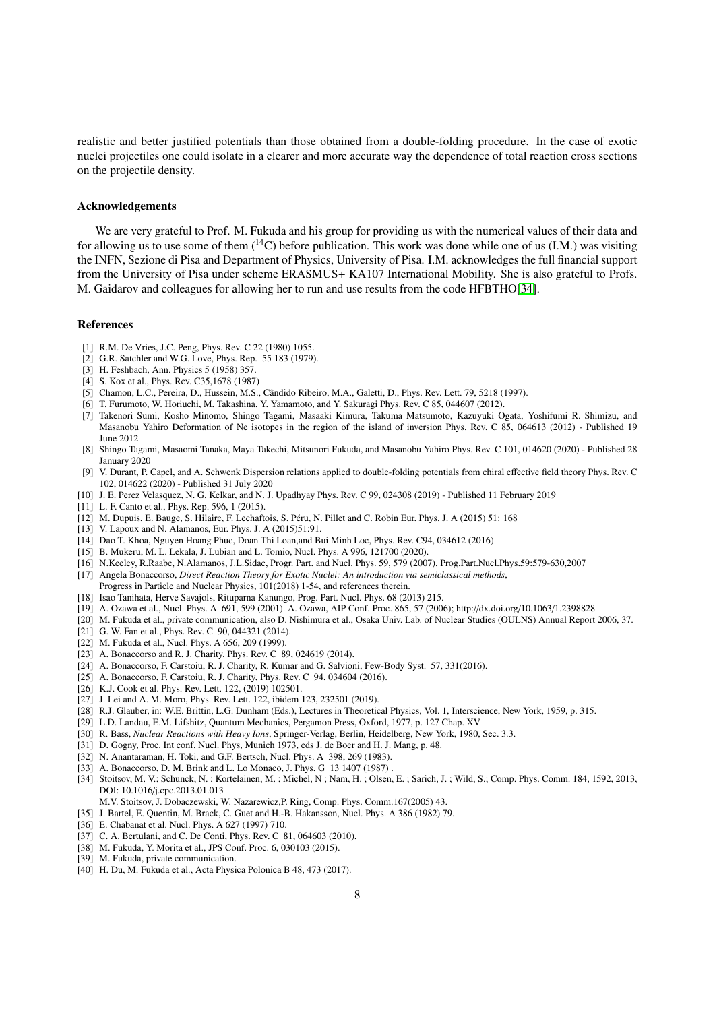realistic and better justified potentials than those obtained from a double-folding procedure. In the case of exotic nuclei projectiles one could isolate in a clearer and more accurate way the dependence of total reaction cross sections on the projectile density.

## Acknowledgements

We are very grateful to Prof. M. Fukuda and his group for providing us with the numerical values of their data and for allowing us to use some of them  $(14)$  before publication. This work was done while one of us (I.M.) was visiting the INFN, Sezione di Pisa and Department of Physics, University of Pisa. I.M. acknowledges the full financial support from the University of Pisa under scheme ERASMUS+ KA107 International Mobility. She is also grateful to Profs. M. Gaidarov and colleagues for allowing her to run and use results from the code HFBTHO[\[34\]](#page-7-27).

#### References

- <span id="page-7-0"></span>[1] R.M. De Vries, J.C. Peng, Phys. Rev. C 22 (1980) 1055.
- <span id="page-7-1"></span>[2] G.R. Satchler and W.G. Love, Phys. Rep. 55 183 (1979).
- <span id="page-7-2"></span>[3] H. Feshbach, Ann. Physics 5 (1958) 357.
- <span id="page-7-3"></span>[4] S. Kox et al., Phys. Rev. C35,1678 (1987)
- <span id="page-7-4"></span>[5] Chamon, L.C., Pereira, D., Hussein, M.S., Cândido Ribeiro, M.A., Galetti, D., Phys. Rev. Lett. 79, 5218 (1997).
- <span id="page-7-6"></span>[6] T. Furumoto, W. Horiuchi, M. Takashina, Y. Yamamoto, and Y. Sakuragi Phys. Rev. C 85, 044607 (2012).
- <span id="page-7-7"></span>[7] Takenori Sumi, Kosho Minomo, Shingo Tagami, Masaaki Kimura, Takuma Matsumoto, Kazuyuki Ogata, Yoshifumi R. Shimizu, and Masanobu Yahiro Deformation of Ne isotopes in the region of the island of inversion Phys. Rev. C 85, 064613 (2012) - Published 19 June 2012
- <span id="page-7-8"></span>[8] Shingo Tagami, Masaomi Tanaka, Maya Takechi, Mitsunori Fukuda, and Masanobu Yahiro Phys. Rev. C 101, 014620 (2020) - Published 28 January 2020
- <span id="page-7-9"></span>[9] V. Durant, P. Capel, and A. Schwenk Dispersion relations applied to double-folding potentials from chiral effective field theory Phys. Rev. C 102, 014622 (2020) - Published 31 July 2020
- [10] J. E. Perez Velasquez, N. G. Kelkar, and N. J. Upadhyay Phys. Rev. C 99, 024308 (2019) Published 11 February 2019
- [11] L. F. Canto et al., Phys. Rep. 596, 1 (2015).
- [12] M. Dupuis, E. Bauge, S. Hilaire, F. Lechaftois, S. Peru, N. Pillet and C. Robin Eur. Phys. J. A (2015) 51: 168 ´
- [13] V. Lapoux and N. Alamanos, Eur. Phys. J. A (2015)51:91.
- [14] Dao T. Khoa, Nguyen Hoang Phuc, Doan Thi Loan,and Bui Minh Loc, Phys. Rev. C94, 034612 (2016)
- [15] B. Mukeru, M. L. Lekala, J. Lubian and L. Tomio, Nucl. Phys. A 996, 121700 (2020).
- <span id="page-7-5"></span>[16] N.Keeley, R.Raabe, N.Alamanos, J.L.Sidac, Progr. Part. and Nucl. Phys. 59, 579 (2007). Prog.Part.Nucl.Phys.59:579-630,2007
- <span id="page-7-10"></span>[17] Angela Bonaccorso, *Direct Reaction Theory for Exotic Nuclei: An introduction via semiclassical methods*,
- Progress in Particle and Nuclear Physics, 101(2018) 1-54, and references therein.
- <span id="page-7-11"></span>[18] Isao Tanihata, Herve Savajols, Rituparna Kanungo, Prog. Part. Nucl. Phys. 68 (2013) 215.
- <span id="page-7-12"></span>[19] A. Ozawa et al., Nucl. Phys. A 691, 599 (2001). A. Ozawa, AIP Conf. Proc. 865, 57 (2006); http://dx.doi.org/10.1063/1.2398828
- <span id="page-7-13"></span>[20] M. Fukuda et al., private communication, also D. Nishimura et al., Osaka Univ. Lab. of Nuclear Studies (OULNS) Annual Report 2006, 37.
- <span id="page-7-14"></span>[21] G. W. Fan et al., Phys. Rev. C 90, 044321 (2014).
- <span id="page-7-15"></span>[22] M. Fukuda et al., Nucl. Phys. A 656, 209 (1999).
- <span id="page-7-16"></span>[23] A. Bonaccorso and R. J. Charity, Phys. Rev. C 89, 024619 (2014).
- <span id="page-7-17"></span>[24] A. Bonaccorso, F. Carstoiu, R. J. Charity, R. Kumar and G. Salvioni, Few-Body Syst. 57, 331(2016).
- <span id="page-7-18"></span>[25] A. Bonaccorso, F. Carstoiu, R. J. Charity, Phys. Rev. C 94, 034604 (2016).
- <span id="page-7-19"></span>[26] K.J. Cook et al. Phys. Rev. Lett. 122, (2019) 102501.
- <span id="page-7-20"></span>[27] J. Lei and A. M. Moro, Phys. Rev. Lett. 122, ibidem 123, 232501 (2019).
- <span id="page-7-21"></span>[28] R.J. Glauber, in: W.E. Brittin, L.G. Dunham (Eds.), Lectures in Theoretical Physics, Vol. 1, Interscience, New York, 1959, p. 315.
- <span id="page-7-22"></span>[29] L.D. Landau, E.M. Lifshitz, Quantum Mechanics, Pergamon Press, Oxford, 1977, p. 127 Chap. XV
- <span id="page-7-23"></span>[30] R. Bass, *Nuclear Reactions with Heavy Ions*, Springer-Verlag, Berlin, Heidelberg, New York, 1980, Sec. 3.3.
- <span id="page-7-24"></span>[31] D. Gogny, Proc. Int conf. Nucl. Phys, Munich 1973, eds J. de Boer and H. J. Mang, p. 48.
- <span id="page-7-25"></span>[32] N. Anantaraman, H. Toki, and G.F. Bertsch, Nucl. Phys. A 398, 269 (1983).
- <span id="page-7-26"></span>[33] A. Bonaccorso, D. M. Brink and L. Lo Monaco, J. Phys. G 13 1407 (1987).
- <span id="page-7-27"></span>[34] Stoitsov, M. V.; Schunck, N. ; Kortelainen, M. ; Michel, N ; Nam, H. ; Olsen, E. ; Sarich, J. ; Wild, S.; Comp. Phys. Comm. 184, 1592, 2013, DOI: 10.1016/j.cpc.2013.01.013
- M.V. Stoitsov, J. Dobaczewski, W. Nazarewicz,P. Ring, Comp. Phys. Comm.167(2005) 43.
- <span id="page-7-28"></span>[35] J. Bartel, E. Quentin, M. Brack, C. Guet and H.-B. Hakansson, Nucl. Phys. A 386 (1982) 79.
- <span id="page-7-29"></span>[36] E. Chabanat et al. Nucl. Phys. A 627 (1997) 710.
- <span id="page-7-30"></span>[37] C. A. Bertulani, and C. De Conti, Phys. Rev. C 81, 064603 (2010).
- <span id="page-7-31"></span>[38] M. Fukuda, Y. Morita et al., JPS Conf. Proc. 6, 030103 (2015).
- <span id="page-7-32"></span>[39] M. Fukuda, private communication.
- <span id="page-7-33"></span>[40] H. Du, M. Fukuda et al., Acta Physica Polonica B 48, 473 (2017).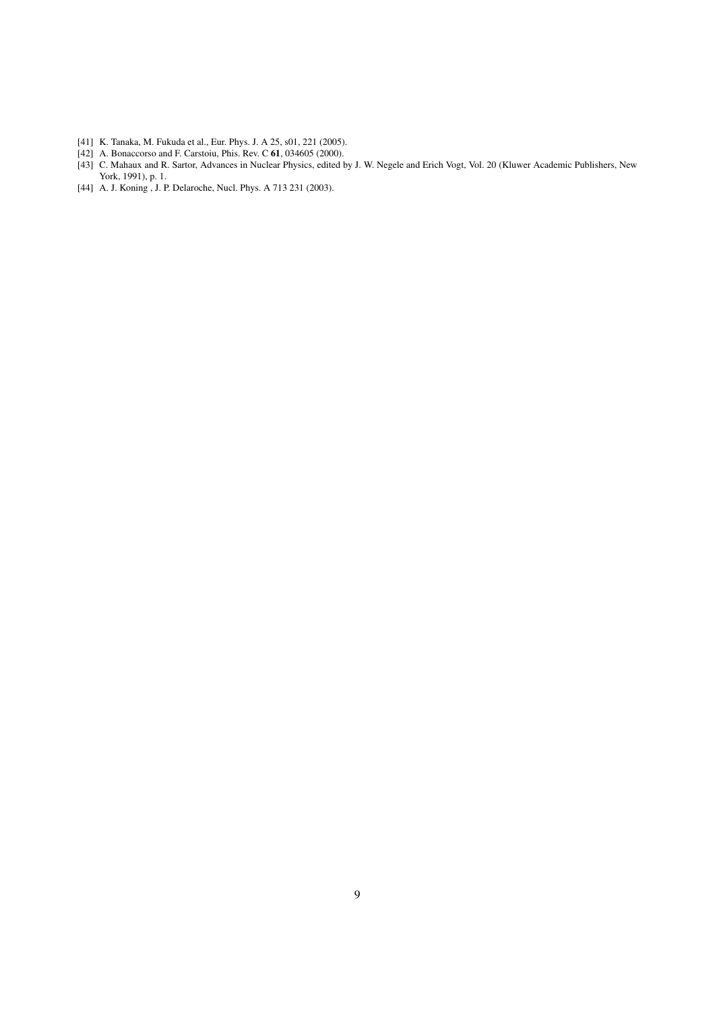- <span id="page-8-0"></span>[41] K. Tanaka, M. Fukuda et al., Eur. Phys. J. A 25, s01, 221 (2005).
- <span id="page-8-1"></span>[42] A. Bonaccorso and F. Carstoiu, Phis. Rev. C 61, 034605 (2000).
- <span id="page-8-2"></span>[43] C. Mahaux and R. Sartor, Advances in Nuclear Physics, edited by J. W. Negele and Erich Vogt, Vol. 20 (Kluwer Academic Publishers, New York, 1991), p. 1.
- <span id="page-8-3"></span>[44] A. J. Koning, J. P. Delaroche, Nucl. Phys. A 713 231 (2003).